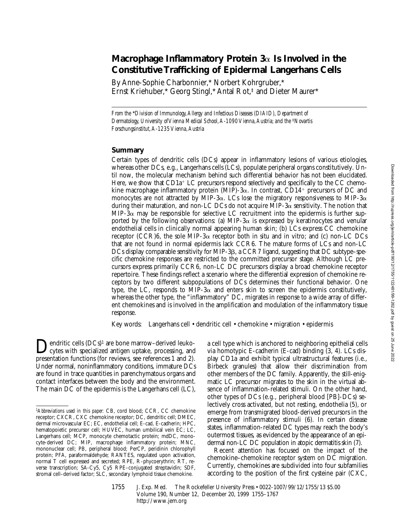# **Macrophage Inflammatory Protein 3**a **Is Involved in the Constitutive Trafficking of Epidermal Langerhans Cells**

By Anne-Sophie Charbonnier,\* Norbert Kohrgruber,\* Ernst Kriehuber,\* Georg Stingl,\* Antal Rot,‡ and Dieter Maurer\*

*From the* \**Division of Immunology, Allergy and Infectious Diseases (DIAID), Department of Dermatology, University of Vienna Medical School, A-1090 Vienna, Austria; and the* <sup>‡</sup>*Novartis Forschungsinstitut, A-1235 Vienna, Austria*

### **Summary**

Certain types of dendritic cells (DCs) appear in inflammatory lesions of various etiologies, whereas other DCs, e.g., Langerhans cells (LCs), populate peripheral organs constitutively. Until now, the molecular mechanism behind such differential behavior has not been elucidated. Here, we show that  $CD1a^+$  LC precursors respond selectively and specifically to the CC chemokine macrophage inflammatory protein  $(MIP)$ -3 $\alpha$ . In contrast, CD14<sup>+</sup> precursors of DC and monocytes are not attracted by MIP-3 $\alpha$ . LCs lose the migratory responsiveness to MIP-3 $\alpha$ during their maturation, and non-LC DCs do not acquire MIP-3 $\alpha$  sensitivity. The notion that MIP-3 $\alpha$  may be responsible for selective LC recruitment into the epidermis is further supported by the following observations: (a) MIP-3 $\alpha$  is expressed by keratinocytes and venular endothelial cells in clinically normal appearing human skin; (b) LCs express CC chemokine receptor (CCR)6, the sole MIP-3 $\alpha$  receptor both in situ and in vitro; and (c) non-LC DCs that are not found in normal epidermis lack CCR6. The mature forms of LCs and non-LC DCs display comparable sensitivity for MIP-3B, a CCR7 ligand, suggesting that DC subtype–specific chemokine responses are restricted to the committed precursor stage. Although LC precursors express primarily CCR6, non-LC DC precursors display a broad chemokine receptor repertoire. These findings reflect a scenario where the differential expression of chemokine receptors by two different subpopulations of DCs determines their functional behavior. One type, the LC, responds to MIP-3 $\alpha$  and enters skin to screen the epidermis constitutively, whereas the other type, the "inflammatory" DC, migrates in response to a wide array of different chemokines and is involved in the amplification and modulation of the inflammatory tissue response.

Key words: Langerhans cell • dendritic cell • chemokine • migration • epidermis

**Dendritic cells (DCs)<sup>1</sup>** are bone marrow–derived leuko-<br>cytes with specialized antigen uptake, processing, and<br>measuration functions (for prioring assessmences 1 and 2) presentation functions (for reviews, see references 1 and 2). Under normal, noninflammatory conditions, immature DCs are found in trace quantities in parenchymatous organs and contact interfaces between the body and the environment. The main DC of the epidermis is the Langerhans cell (LC),

a cell type which is anchored to neighboring epithelial cells via homotypic E-cadherin (E-cad) binding (3, 4). LCs display CD1a and exhibit typical ultrastructural features (i.e., Birbeck granules) that allow their discrimination from other members of the DC family. Apparently, the still-enigmatic LC precursor migrates to the skin in the virtual absence of inflammation-related stimuli. On the other hand, other types of DCs (e.g., peripheral blood [PB]-DCs) selectively cross activated, but not resting, endothelia (5), or emerge from transmigrated blood-derived precursors in the presence of inflammatory stimuli (6). In certain disease states, inflammation-related DC types may reach the body's outermost tissues, as evidenced by the appearance of an epidermal non-LC DC population in atopic dermatitis skin (7).

Recent attention has focused on the impact of the chemokine–chemokine receptor system on DC migration. Currently, chemokines are subdivided into four subfamilies according to the position of the first cysteine pair (CXC,

<sup>1</sup>*Abbreviations used in this paper:* CB, cord blood; CCR, CC chemokine receptor; CXCR, CXC chemokine receptor; DC, dendritic cell; DMEC, dermal microvascular EC; EC, endothelial cell; E-cad, E-cadherin; HPC, hematopoietic precursor cell; HUVEC, human umbilical vein EC; LC, Langerhans cell; MCP, monocyte chemotactic protein; mdDC, monocyte-derived DC; MIP, macrophage inflammatory protein; MNC, mononuclear cell; PB, peripheral blood; PerCP, peridinin chlorophyll protein; PFA, paraformaldehyde; RANTES, regulated upon activation, normal T cell expressed and secreted; RPE, R-phycoerythrin; RT, reverse transcription; SA-Cy5, Cy5 RPE–conjugated streptavidin; SDF, stromal cell–derived factor; SLC, secondary lymphoid tissue chemokine.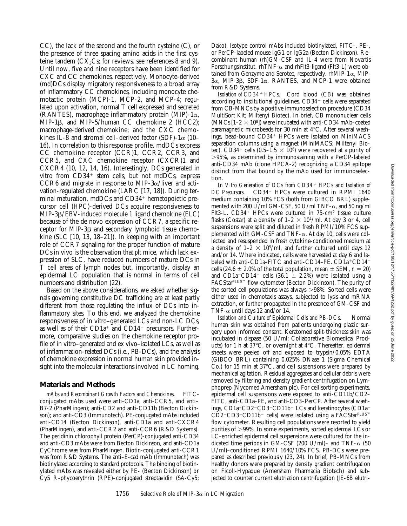CC), the lack of the second and the fourth cysteine (C), or the presence of three spacing amino acids in the first cysteine tandem  $(CX_3Cs)$ ; for reviews, see references 8 and 9). Until now, five and nine receptors have been identified for CXC and CC chemokines, respectively. Monocyte-derived (md)DCs display migratory responsiveness to a broad array of inflammatory CC chemokines, including monocyte chemotactic protein (MCP)-1, MCP-2, and MCP-4; regulated upon activation, normal T cell expressed and secreted (RANTES), macrophage inflammatory protein (MIP)-1 $\alpha$ , MIP-1b, and MIP-5/human CC chemokine 2 (HCC2); macrophage-derived chemokine; and the CXC chemokines IL-8 and stromal cell–derived factor (SDF)-1 $\alpha$  (10– 16). In correlation to this response profile, mdDCs express CC chemokine receptor (CCR)1, CCR2, CCR3, and CCR5, and CXC chemokine receptor (CXCR)1 and CXCR4 (10, 12, 14, 16). Interestingly, DCs generated in vitro from  $CD34^+$  stem cells, but not mdDCs, express CCR6 and migrate in response to MIP-3 $\alpha$ /liver and activation-regulated chemokine (LARC [17, 18]). During terminal maturation, mdDCs and  $CD34<sup>+</sup>$  hematopoietic precursor cell (HPC)-derived DCs acquire responsiveness to MIP-3b/EBV-induced molecule 1 ligand chemokine (ELC) because of the de novo expression of CCR7, a specific receptor for MIP-3 $\beta$  and secondary lymphoid tissue chemokine (SLC [10, 13, 18–21]). In keeping with an important role of CCR7 signaling for the proper function of mature DCs in vivo is the observation that *plt* mice, which lack expression of SLC, have reduced numbers of mature DCs in T cell areas of lymph nodes but, importantly, display an epidermal LC population that is normal in terms of cell numbers and distribution (22).

Based on the above considerations, we asked whether signals governing constitutive DC trafficking are at least partly different from those regulating the influx of DCs into inflammatory sites. To this end, we analyzed the chemokine responsiveness of in vitro–generated LCs and non-LC DCs, as well as of their CD1a<sup>+</sup> and CD14<sup>+</sup> precursors. Furthermore, comparative studies on the chemokine receptor profile of in vitro–generated and ex vivo–isolated LCs, as well as of inflammation-related DCs (i.e., PB-DCs), and the analysis of chemokine expression in normal human skin provided insight into the molecular interactions involved in LC homing.

#### **Materials and Methods**

*mAbs and Recombinant Growth Factors and Chemokines.* FITCconjugated mAbs used were anti-CD1a, anti-CCR5, and anti– B7-2 (PharMingen); anti-CD2 and anti-CD11b (Becton Dickinson); and anti-CD3 (Immunotech). PE-conjugated mAbs included anti-CD14 (Becton Dickinson), anti-CD1a and anti-CXCR4 (PharMingen), and anti-CCR2 and anti-CCR6 (R&D Systems). The peridinin chlorophyll protein (PerCP)-conjugated anti-CD34 and anti-CD3 mAbs were from Becton Dickinson, and anti-CD1a CyChrome was from PharMingen. Biotin-conjugated anti-CCR1 was from R&D Systems. The anti–E-cad mAb (Immunotech) was biotinylated according to standard protocols. The binding of biotinylated mAbs was revealed either by PE- (Becton Dickinson) or Cy5 R-phycoerythrin (RPE)–conjugated streptavidin (SA-Cy5; Dako). Isotype control mAbs included biotinylated, FITC-, PE-, or PerCP-labeled mouse IgG1 or IgG2a (Becton Dickinson). Recombinant human (rh)GM-CSF and IL-4 were from Novartis Forschungsinstitut. rhTNF- $\alpha$  and rhFlt3-ligand (Flt3-L) were obtained from Genzyme and Serotec, respectively. rhMIP-1 $\alpha$ , MIP- $3\alpha$ , MIP-3 $\beta$ , SDF-1 $\alpha$ , RANTES, and MCP-1 were obtained from R&D Systems.

Isolation of CD34<sup>+</sup> HPCs. Cord blood (CB) was obtained according to institutional guidelines.  $CD34<sup>+</sup>$  cells were separated from CB-MNCs by a positive immunoselection procedure (CD34 MultiSort Kit; Miltenyi Biotec). In brief, CB mononuclear cells (MNCs  $[1-2 \times 10^{8}]$ ) were incubated with anti-CD34 mAb–coated paramagnetic microbeads for 30 min at  $4^{\circ}$ C. After several washings, bead-bound  $CD34<sup>+</sup>$  HPCs were isolated on MiniMACS separation columns using a magnet (MiniMACS; Miltenyi Biotec). CD34<sup>+</sup> cells (0.5–1.5  $\times$  10<sup>6</sup>) were recovered at a purity of .95%, as determined by immunostaining with a PerCP-labeled anti-CD34 mAb (clone HPCA-2) recognizing a CD34 epitope distinct from that bound by the mAb used for immunoselection.

*In Vitro Generation of DCs from CD34*1 *HPCs and Isolation of* DC Precursors. CD34<sup>+</sup> HPCs were cultured in RPMI 1640 medium containing 10% FCS (both from GIBCO BRL) supplemented with 200 U/ml GM-CSF, 50 U/ml TNF- $\alpha$ , and 50 ng/ml Flt3-L.  $CD34+$  HPCs were cultured in  $75$ -cm<sup>2</sup> tissue culture flasks (Costar) at a density of  $1-2 \times 10^{4}$ /ml. At day 3 or 4, cell suspensions were split and diluted in fresh RPMI/10% FCS supplemented with GM-CSF and TNF- $\alpha$ . At day 10, cells were collected and resuspended in fresh cytokine-conditioned medium at a density of  $1-2 \times 10^{5}$ /ml, and further cultured until days 12 and/or 14. Where indicated, cells were harvested at day 6 and labeled with anti-CD1a–FITC and anti-CD14–PE. CD1a+CD14– cells (24.6  $\pm$  2.0% of the total population, mean  $\pm$  SEM, *n* = 20) and CD1a<sup>-</sup>CD14<sup>+</sup> cells (36.1  $\pm$  2.2%) were isolated using a FACStarPLUS™ flow cytometer (Becton Dickinson). The purity of the sorted cell populations was always  $>98\%$ . Sorted cells were either used in chemotaxis assays, subjected to lysis and mRNA extraction, or further propagated in the presence of GM-CSF and TNF- $\alpha$  until days 12 and/or 14.

*Isolation and Culture of Epidermal Cells and PB-DCs.* Normal human skin was obtained from patients undergoing plastic surgery upon informed consent. Keratomed split-thickness skin was incubated in dispase (50 U/ml; Collaborative Biomedical Products) for 1 h at  $37^{\circ}$ C, or overnight at  $4^{\circ}$ C. Thereafter, epidermal sheets were peeled off and exposed to trypsin/0.05% EDTA (GIBCO BRL) containing 0.025% DNase 1 (Sigma Chemical Co.) for 15 min at  $37^{\circ}$ C, and cell suspensions were prepared by mechanical agitation. Residual aggregates and cellular debris were removed by filtering and density gradient centrifugation on Lymphoprep (Nycomed Amersham plc). For cell sorting experiments, epidermal cell suspensions were exposed to anti-CD11b/CD2– FITC, anti-CD1a–PE, and anti-CD3–PerCP. After several washings,  $CD1a+CD2-CD3-CD11b-LCs$  and keratinocytes (CD1a<sup>-</sup>  $CD2$ <sup>-</sup>CD3<sup>-</sup>CD11b<sup>-</sup> cells) were isolated using a FACStarPLUS™ flow cytometer. Resulting cell populations were resorted to yield purities of  $>99\%$ . In some experiments, sorted epidermal LCs or LC-enriched epidermal cell suspensions were cultured for the indicated time periods in GM-CSF (200 U/ml)– and TNF- $\alpha$  (50 U/ml)–conditioned RPMI 1640/10% FCS. PB-DCs were prepared as described previously (23, 24). In brief, PB-MNCs from healthy donors were prepared by density gradient centrifugation on Ficoll-Hypaque (Amersham Pharmacia Biotech) and subjected to counter current elutriation centrifugation (JE-6B elutri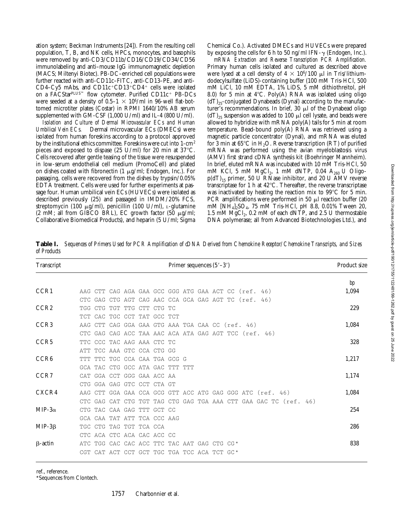ation system; Beckman Instruments [24]). From the resulting cell population, T, B, and NK cells, HPCs, monocytes, and basophils were removed by anti-CD3/CD11b/CD16/CD19/CD34/CD56 immunolabeling and anti–mouse IgG immunomagnetic depletion (MACS; Miltenyi Biotec). PB-DC–enriched cell populations were further reacted with anti-CD11c–FITC, anti-CD13–PE, and anti-CD4-Cy5 mAbs, and CD11c+CD13+CD4+ cells were isolated on a FACStarPLUS™ flow cytometer. Purified CD11c<sup>+</sup> PB-DCs were seeded at a density of  $0.5-1 \times 10^6/\text{ml}$  in 96-well flat-bottomed microtiter plates (Costar) in RPMI 1640/10% AB serum supplemented with GM-CSF (1,000 U/ml) and IL-4 (800 U/ml).

*Isolation and Culture of Dermal Microvascular ECs and Human Umbilical Vein ECs.* Dermal microvascular ECs (DMECs) were isolated from human foreskins according to a protocol approved by the institutional ethics committee. Foreskins were cut into 1-cm2 pieces and exposed to dispase (25 U/ml) for 20 min at  $37^{\circ}$ C. Cells recovered after gentle teasing of the tissue were resuspended in low-serum endothelial cell medium (PromoCell) and plated on dishes coated with fibronectin  $(1 \mu g/ml)$ ; Endogen, Inc.). For passaging, cells were recovered from the dishes by trypsin/0.05% EDTA treatment. Cells were used for further experiments at passage four. Human umbilical vein ECs (HUVECs) were isolated as described previously (25) and passaged in IMDM/20% FCS, streptomycin (100  $\mu$ g/ml), penicillin (100 U/ml), *L*-glutamine (2 mM; all from GIBCO BRL), EC growth factor (50  $\mu$ g/ml; Collaborative Biomedical Products), and heparin (5 U/ml; Sigma

*mRNA Extraction and Reverse Transcription PCR Amplification.* Primary human cells isolated and cultured as described above were lysed at a cell density of  $4 \times 10^6/100$  µl in Tris/lithiumdodecylsulfate (LiDS)-containing buffer (100 mM Tris-HCl, 500 mM LiCl, 10 mM EDTA, 1% LiDS, 5 mM dithiothreitol, pH 8.0) for 5 min at  $4^{\circ}$ C. Poly(A) RNA was isolated using oligo  $(dT)_{25}$ -conjugated Dynabeads (Dynal) according to the manufacturer's recommendations. In brief,  $30 \mu l$  of the Dynabead oligo  $(dT)_{25}$  suspension was added to 100  $\mu$ l cell lysate, and beads were allowed to hybridize with mRNA poly(A) tails for 5 min at room temperature. Bead-bound poly(A) RNA was retrieved using a magnetic particle concentrator (Dynal), and mRNA was eluted for 3 min at  $65^{\circ}$ C in H<sub>2</sub>O. Reverse transcription (RT) of purified mRNA was performed using the avian myeloblastosis virus (AMV) first strand cDNA synthesis kit (Boehringer Mannheim). In brief, eluted mRNA was incubated with 10 mM Tris-HCl, 50 mM KCl, 5 mM  $MgCl<sub>2</sub>$ , 1 mM dNTP, 0.04  $A<sub>260</sub>$  U Oligo $p(dT)_{15}$  primer, 50 U RNase inhibitor, and 20 U AMV reverse transcriptase for 1 h at  $42^{\circ}$ C. Thereafter, the reverse transcriptase was inactivated by heating the reaction mix to  $99^{\circ}C$  for 5 min. PCR amplifications were performed in 50  $\mu$ l reaction buffer (20 mM [NH<sub>4</sub>]<sub>2</sub>SO<sub>4</sub>, 75 mM Tris-HCl, pH 8.8, 0.01% Tween 20, 1.5 mM  $MgCl<sub>2</sub>$ , 0.2 mM of each dNTP, and 2.5 U thermostable DNA polymerase; all from Advanced Biotechnologies Ltd.), and

| Transcript       | Primer sequences $(5'–3')$                           |  |  |  |  |                         |  |  |  |  |  |                                                       |  |                                                                  | Product size |       |
|------------------|------------------------------------------------------|--|--|--|--|-------------------------|--|--|--|--|--|-------------------------------------------------------|--|------------------------------------------------------------------|--------------|-------|
|                  |                                                      |  |  |  |  |                         |  |  |  |  |  |                                                       |  |                                                                  |              | bp    |
| CCR1             | AAG CTT CAG AGA GAA GCC GGG ATG GAA ACT CC (ref. 46) |  |  |  |  |                         |  |  |  |  |  |                                                       |  |                                                                  |              | 1,094 |
|                  |                                                      |  |  |  |  |                         |  |  |  |  |  | CTC GAG CTG AGT CAG AAC CCA GCA GAG AGT TC (ref. 46)  |  |                                                                  |              |       |
| CCR <sub>2</sub> | TGG CTG TGT TTG CTT CTG TC                           |  |  |  |  |                         |  |  |  |  |  |                                                       |  |                                                                  |              | 229   |
|                  | TCT                                                  |  |  |  |  | CAC TGC CCT TAT GCC TCT |  |  |  |  |  |                                                       |  |                                                                  |              |       |
| CCR <sub>3</sub> | AAG CTT CAG GGA GAA GTG AAA TGA CAA CC (ref. 46)     |  |  |  |  |                         |  |  |  |  |  |                                                       |  |                                                                  |              | 1,084 |
|                  |                                                      |  |  |  |  |                         |  |  |  |  |  | CTC GAG CAG ACC TAA AAC ACA ATA GAG AGT TCC (ref. 46) |  |                                                                  |              |       |
| CCR <sub>5</sub> | TTC CCC TAC AAG AAA CTC TC                           |  |  |  |  |                         |  |  |  |  |  |                                                       |  |                                                                  |              | 328   |
|                  | ATT TCC AAA GTC CCA CTG GG                           |  |  |  |  |                         |  |  |  |  |  |                                                       |  |                                                                  |              |       |
| CCR <sub>6</sub> | TTT TTC TGC CCA CAA TGA GCG G                        |  |  |  |  |                         |  |  |  |  |  |                                                       |  |                                                                  |              | 1,217 |
|                  | GCA TAC CTG GCC ATA GAC TTT TTT                      |  |  |  |  |                         |  |  |  |  |  |                                                       |  |                                                                  |              |       |
| CCR <sub>7</sub> | CAT GGA CCT GGG GAA ACC AA                           |  |  |  |  |                         |  |  |  |  |  |                                                       |  |                                                                  |              | 1,174 |
|                  | CTG.                                                 |  |  |  |  | GGA GAG GTC CCT CTA GT  |  |  |  |  |  |                                                       |  |                                                                  |              |       |
| CXCR4            |                                                      |  |  |  |  |                         |  |  |  |  |  |                                                       |  | AAG CTT GGA GAA CCA GCG GTT ACC ATG GAG GGG ATC (ref. 46)        |              | 1,084 |
|                  |                                                      |  |  |  |  |                         |  |  |  |  |  |                                                       |  | CTC GAG CAT CTG TGT TAG CTG GAG TGA AAA CTT GAA GAC TC (ref. 46) |              |       |
| MIP-3 $\alpha$   | CTG TAC CAA GAG TTT GCT CC                           |  |  |  |  |                         |  |  |  |  |  |                                                       |  |                                                                  |              | 254   |
|                  | GCA CAA TAT ATT TCA CCC AAG                          |  |  |  |  |                         |  |  |  |  |  |                                                       |  |                                                                  |              |       |
| $MIP-3\beta$     | TGC CTG TAG TGT TCA CCA                              |  |  |  |  |                         |  |  |  |  |  |                                                       |  |                                                                  |              | 286   |
|                  | CTC.                                                 |  |  |  |  | ACA CTC ACA CAC ACC CC  |  |  |  |  |  |                                                       |  |                                                                  |              |       |
| $\beta$ -actin   | ATC TGG CAC CAC ACC TTC TAC AAT GAG CTG CG *         |  |  |  |  |                         |  |  |  |  |  |                                                       |  |                                                                  |              | 838   |
|                  | CGT CAT ACT CCT GCT TGC TGA TCC ACA TCT GC*          |  |  |  |  |                         |  |  |  |  |  |                                                       |  |                                                                  |              |       |

**Table I.** *Sequences of Primers Used for PCR Amplification of cDNA Derived from Chemokine Receptor/Chemokine Transcripts, and Sizes of Products*

ref., reference.

\*Sequences from Clontech.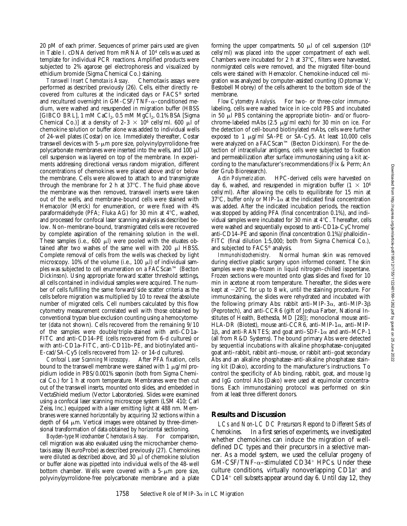20 pM of each primer. Sequences of primer pairs used are given in Table I. cDNA derived from mRNA of 104 cells was used as template for individual PCR reactions. Amplified products were subjected to 2% agarose gel electrophoresis and visualized by ethidium bromide (Sigma Chemical Co.) staining.

*Transwell Insert Chemotaxis Assay.* Chemotaxis assays were performed as described previously (26). Cells, either directly recovered from cultures at the indicated days or FACS® sorted and recultured overnight in GM-CSF/TNF- $\alpha$ –conditioned medium, were washed and resuspended in migration buffer (HBSS [GIBCO BRL], 1 mM CaCl<sub>2</sub>, 0.5 mM MgCl<sub>2</sub>, 0.1% BSA [Sigma] Chemical Co.)] at a density of  $2-3 \times 10^6$  cells/ml. 600 µl of chemokine solution or buffer alone was added to individual wells of 24-well plates (Costar) on ice. Immediately thereafter, Costar transwell devices with  $5-\mu m$  pore size, polyvinylpyrrolidone-free polycarbonate membranes were inserted into the wells, and 100  $\mu$ l cell suspension was layered on top of the membrane. In experiments addressing directional versus random migration, different concentrations of chemokines were placed above and/or below the membrane. Cells were allowed to attach to and transmigrate through the membrane for 2 h at  $37^{\circ}$ C. The fluid phase above the membrane was then removed, transwell inserts were taken out of the wells, and membrane-bound cells were stained with Hemacolor (Merck) for enumeration, or were fixed with 4% paraformaldehyde (PFA; Fluka AG) for 30 min at  $4^{\circ}$ C, washed, and processed for confocal laser scanning analysis as described below. Non–membrane-bound, transmigrated cells were recovered by complete aspiration of the remaining solution in the well. These samples (i.e., 600  $\mu$ l) were pooled with the eluates obtained after two washes of the same well with  $200 \mu$ l HBSS. Complete removal of cells from the wells was checked by light microscopy. 10% of the volume (i.e., 100  $\mu$ l) of individual samples was subjected to cell enumeration on a FACScan™ (Becton Dickinson). Using appropriate forward scatter threshold settings, all cells contained in individual samples were acquired. The number of cells fulfilling the same forward/side scatter criteria as the cells before migration was multiplied by 10 to reveal the absolute number of migrated cells. Cell numbers calculated by this flow cytometry measurement correlated well with those obtained by conventional trypan blue exclusion counting using a hemocytometer (data not shown). Cells recovered from the remaining 9/10 of the samples were double/triple-stained with anti-CD1a– FITC and anti-CD14–PE (cells recovered from 6-d cultures) or with anti-CD1a–FITC, anti-CD11b–PE, and biotinylated anti– E-cad/SA-Cy5 (cells recovered from 12- or 14-d cultures).

*Confocal Laser Scanning Microscopy.* After PFA fixation, cells bound to the transwell membrane were stained with 1  $\mu$ g/ml propidium iodide in PBS/0.001% saponin (both from Sigma Chemical Co.) for 1 h at room temperature. Membranes were then cut out of the transwell inserts, mounted onto slides, and embedded in VectaShield medium (Vector Laboratories). Slides were examined using a confocal laser scanning microscope system (LSM 410; Carl Zeiss, Inc.) equipped with a laser emitting light at 488 nm. Membranes were scanned horizontally by acquiring 32 sections within a depth of 64  $\mu$ m. Vertical images were obtained by three-dimensional transformation of data obtained by horizontal sectioning.

*Boyden-type Microchamber Chemotaxis Assay.* For comparison, cell migration was also evaluated using the microchamber chemotaxis assay (NeuroProbe) as described previously (27). Chemokines were diluted as described above, and  $30 \mu$  of chemokine solution or buffer alone was pipetted into individual wells of the 48-well bottom chamber. Wells were covered with a  $5-\mu m$  pore size, polyvinylpyrrolidone-free polycarbonate membrane and a plate forming the upper compartments. 50  $\mu$ l of cell suspension (10<sup>6</sup>) cells/ml) was placed into the upper compartment of each well. Chambers were incubated for 2 h at  $37^{\circ}$ C, filters were harvested, nonmigrated cells were removed, and the migrated filter-bound cells were stained with Hemacolor. Chemokine-induced cell migration was analyzed by computer-assisted counting (Optomax V; Bestobell Mobrey) of the cells adherent to the bottom side of the

membrane.<br>Flow Cytometry Analysis. For two- or three-color immunolabeling, cells were washed twice in ice-cold PBS and incubated in 50  $\mu$ l PBS containing the appropriate biotin- and/or fluorochrome-labeled mAbs  $(2.5 \mu g/ml$  each) for 30 min on ice. For the detection of cell-bound biotinylated mAbs, cells were further exposed to 1  $\mu$ g/ml SA-PE or SA-Cy5. At least 10,000 cells were analyzed on a FACScan™ (Becton Dickinson). For the detection of intracellular antigens, cells were subjected to fixation and permeabilization after surface immunostaining using a kit according to the manufacturer's recommendations (Fix & Perm; An der Grub Bioresearch).

*Actin Polymerization.* HPC-derived cells were harvested on day 6, washed, and resuspended in migration buffer  $(1 \times 10^6$ cells/ml). After allowing the cells to equilibrate for 15 min at 37°C, buffer only or MIP-1 $\alpha$  at the indicated final concentration was added. After the indicated incubation periods, the reaction was stopped by adding PFA (final concentration 0.1%), and individual samples were incubated for 30 min at  $4^{\circ}$ C. Thereafter, cells were washed and sequentially exposed to anti-CD1a–CyChrome/ anti-CD14–PE and saponin (final concentration 0.1%)/phalloidin– FITC (final dilution 1:5,000; both from Sigma Chemical Co.), and subjected to FACS® analysis.

*Immunohistochemistry.* Normal human skin was removed during elective plastic surgery upon informed consent. The skin samples were snap-frozen in liquid nitrogen–chilled isopentane. Frozen sections were mounted onto glass slides and fixed for 10 min in acetone at room temperature. Thereafter, the slides were kept at  $-20^{\circ}$ C for up to 8 wk, until the staining procedure. For immunostaining, the slides were rehydrated and incubated with the following primary Abs: rabbit anti-MIP-3 $\alpha$ , anti-MIP-3 $\beta$ (Peprotech), and anti-CCR6 (gift of Joshua Farber, National Institutes of Health, Bethesda, MD [28]); monoclonal mouse anti– HLA-DR (Biotest), mouse anti-CCR6, anti–MIP-1a, anti–MIP-1 $\beta$ , and anti-RANTES; and goat anti-SDF-1 $\alpha$  and anti-MCP-1 (all from R&D Systems). The bound primary Abs were detected by sequential incubations with alkaline phosphatase–conjugated goat anti–rabbit, rabbit anti–mouse, or rabbit anti–goat secondary Abs and an alkaline phosphatase–anti-alkaline phosphatase staining kit (Dako), according to the manufacturer's instructions. To control the specificity of Ab binding, rabbit, goat, and mouse Ig and IgG control Abs (Dako) were used at equimolar concentrations. Each immunostaining protocol was performed on skin from at least three different donors.

## **Results and Discussion**

*LCs and Non-LC DC Precursors Respond to Different Sets of Chemokines.* In a first series of experiments, we investigated whether chemokines can induce the migration of welldefined DC types and their precursors in a selective manner. As a model system, we used the cellular progeny of  $GM-CSF/TNF-\alpha-stimulated CD34^+ HPCs. Under these$ culture conditions, virtually nonoverlapping  $CD1a^+$  and  $CD14<sup>+</sup>$  cell subsets appear around day 6. Until day 12, they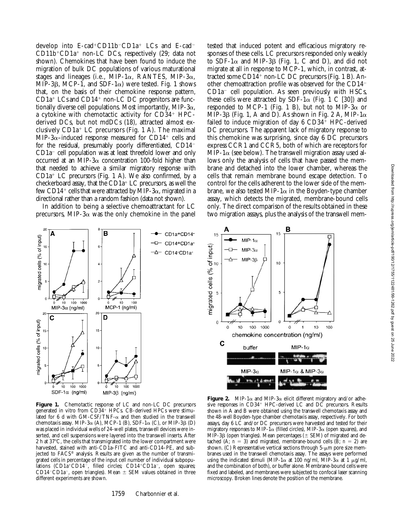develop into E-cad+CD11b<sup>-</sup>CD1a<sup>+</sup> LCs and E-cad<sup>-</sup>  $CD11b+CD1a<sup>+</sup>$  non-LC DCs, respectively (29; data not shown). Chemokines that have been found to induce the migration of bulk DC populations of various maturational stages and lineages (i.e.,  $MIP-1\alpha$ , RANTES,  $MIP-3\alpha$ , MIP-3 $\beta$ , MCP-1, and SDF-1 $\alpha$ ) were tested. Fig. 1 shows that, on the basis of their chemokine response pattern,  $CD1a<sup>+</sup>$  LCs and CD14<sup>+</sup> non-LC DC progenitors are functionally diverse cell populations. Most importantly, MIP- $3\alpha$ , a cytokine with chemotactic activity for  $CD34<sup>+</sup>$  HPCderived DCs, but not mdDCs (18), attracted almost exclusively  $CD1a^+$  LC precursors (Fig. 1 A). The maximal MIP-3 $\alpha$ –induced response measured for CD14<sup>+</sup> cells and for the residual, presumably poorly differentiated,  $CD14$ <sup>-</sup>  $CD1a^-$  cell population was at least threefold lower and only occurred at an MIP-3 $\alpha$  concentration 100-fold higher than that needed to achieve a similar migratory response with  $CD1a<sup>+</sup>$  LC precursors (Fig. 1 A). We also confirmed, by a checkerboard assay, that the  $CD1a^+$  LC precursors, as well the few CD14<sup>+</sup> cells that were attracted by MIP-3 $\alpha$ , migrated in a directional rather than a random fashion (data not shown).

In addition to being a selective chemoattractant for LC precursors, MIP-3 $\alpha$  was the only chemokine in the panel

 $\overline{2}$ B A CD1a+CD14migrated cells (% of input) CD14+CD1a 15 CD14-CD1a-10  $\mathfrak{p}$ 5  $100 - 1000$  $100$  $10$ 10 MCP-1 (ng/ml)  $MIP-3\alpha$  (ng/ml)  $\overline{2}$ 20  $\mathbf c$ D migrated cells (% of input) 15 15 10 10 5  $\theta$  $10$ 100 1000  $100$ 1000 10  $SDF-1\alpha$ (ng/ml)  $MIP-3\beta$  (ng/ml)

**Figure 1.** Chemotactic response of LC and non-LC DC precursors generated in vitro from CD34+ HPCs. CB-derived HPCs were stimulated for 6 d with GM-CSF/TNF- $\alpha$  and then studied in the transwell chemotaxis assay. MIP-3 $\alpha$  (A), MCP-1 (B), SDF-1 $\alpha$  (C), or MIP-3 $\beta$  (D) was placed in individual wells of 24-well plates, transwell devices were inserted, and cell suspensions were layered into the transwell inserts. After 2 h at  $37^{\circ}$ C, the cells that transmigrated into the lower compartment were harvested, stained with anti-CD1a–FITC and anti-CD14–PE, and subjected to FACS® analysis. Results are given as the number of transmigrated cells in percentage of the input cell number of individual subpopulations (CD1a+CD14-, filled circles; CD14+CD1a-, open squares; CD14<sup>-</sup>CD1a<sup>-</sup>, open triangles). Mean  $\pm$  SEM values obtained in three different experiments are shown.

tested that induced potent and efficacious migratory responses of these cells. LC precursors responded only weakly to SDF-1 $\alpha$  and MIP-3 $\beta$  (Fig. 1, C and D), and did not migrate at all in response to MCP-1, which, in contrast, attracted some CD14<sup>+</sup> non-LC DC precursors (Fig. 1 B). Another chemoattraction profile was observed for the  $CD14<sup>-</sup>$  $CD1a^-$  cell population. As seen previously with HSCs, these cells were attracted by SDF-1 $\alpha$  (Fig. 1 C [30]) and responded to MCP-1 (Fig. 1 B), but not to MIP-3 $\alpha$  or MIP-3 $\beta$  (Fig. 1, A and D). As shown in Fig. 2 A, MIP-1 $\alpha$ failed to induce migration of day  $6 \text{ CD}34^+ \text{ HPC-derived}$ DC precursors. The apparent lack of migratory response to this chemokine was surprising, since day 6 DC precursors express CCR1 and CCR5, both of which are receptors for MIP-1 $\alpha$  (see below). The transwell migration assay used allows only the analysis of cells that have passed the membrane and detached into the lower chamber, whereas the cells that remain membrane bound escape detection. To control for the cells adherent to the lower side of the membrane, we also tested MIP-1 $\alpha$  in the Boyden-type chamber assay, which detects the migrated, membrane-bound cells only. The direct comparison of the results obtained in these two migration assays, plus the analysis of the transwell mem-



**Figure 2.** MIP-1 $\alpha$  and MIP-3 $\alpha$  elicit different migratory and/or adhesive responses in  $CD34^+$  HPC-derived LC and  $D\tilde{C}$  precursors. Results shown in A and B were obtained using the transwell chemotaxis assay and the 48-well Boyden-type chamber chemotaxis assay, respectively. For both assays, day 6 LC and/or DC precursors were harvested and tested for their migratory responses to MIP-1 $\alpha$  (filled circles), MIP-3 $\alpha$  (open squares), and  $\overline{MIP}$ -3 $\beta$  (open triangles). Mean percentages ( $\pm$  SEM) of migrated and detached (A;  $n = 3$ ) and migrated, membrane-bound cells (B;  $n = 2$ ) are shown. (C) Representative vertical sections through  $5-\mu m$  pore size membranes used in the transwell chemotaxis assay. The assays were performed using the indicated stimuli (MIP-1 $\alpha$  at 100 ng/ml, MIP-3 $\alpha$  at 1  $\mu$ g/ml, and the combination of both), or buffer alone. Membrane-bound cells were fixed and labeled, and membranes were subjected to confocal laser scanning microscopy. Broken lines denote the position of the membrane.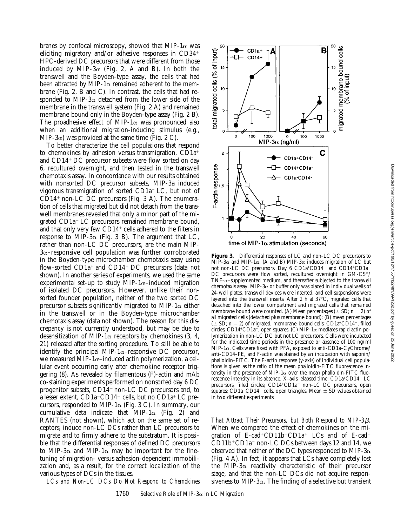cells

migrated membrane-bound

ò

100

CD1a+CD14

CD14+CD1a-CD1a-CD14-

40

0  $MIP-3\alpha$  (ng/ml) 1000

C

60

input)

 $\overline{\sigma}$ se

B

CD<sub>1a+</sub>

 $CD14+$ 

ᇚ

A

딮

1000

20

time of MIP-1 $\alpha$  stimulation (seconds)

otal migrated cells (% of input)

15

10

5

 $\Delta$ 

 $\mathbf 2$ 

F-actin response

 $\Omega$ 

100

branes by confocal microscopy, showed that MIP-1 $\alpha$  was eliciting migratory and/or adhesive responses in  $CD34<sup>+</sup>$ HPC-derived DC precursors that were different from those induced by MIP-3 $\alpha$  (Fig. 2, A and B). In both the transwell and the Boyden-type assay, the cells that had been attracted by MIP-1 $\alpha$  remained adherent to the membrane (Fig. 2, B and C). In contrast, the cells that had responded to MIP-3 $\alpha$  detached from the lower side of the membrane in the transwell system (Fig. 2 A) and remained membrane bound only in the Boyden-type assay (Fig. 2 B). The proadhesive effect of MIP-1 $\alpha$  was pronounced also when an additional migration-inducing stimulus (e.g., MIP-3 $\alpha$ ) was provided at the same time (Fig. 2 C).

To better characterize the cell populations that respond to chemokines by adhesion versus transmigration,  $CD1a^+$ and CD14<sup>+</sup> DC precursor subsets were flow sorted on day 6, recultured overnight, and then tested in the transwell chemotaxis assay. In concordance with our results obtained with nonsorted DC precursor subsets, MIP-3a induced vigorous transmigration of sorted  $CD1a^+$  LC, but not of  $CD14<sup>+</sup>$  non-LC DC precursors (Fig. 3 A). The enumeration of cells that migrated but did not detach from the transwell membranes revealed that only a minor part of the migrated  $CD1a<sup>+</sup> LC$  precursors remained membrane bound, and that only very few  $CD14^+$  cells adhered to the filters in response to MIP-3 $\alpha$  (Fig. 3 B). The argument that LC, rather than non-LC DC precursors, are the main MIP- $3\alpha$ –responsive cell population was further corroborated in the Boyden-type microchamber chemotaxis assay using flow-sorted  $CD1a^+$  and  $CD14^+$  DC precursors (data not shown). In another series of experiments, we used the same experimental set-up to study MIP-1 $\alpha$ –induced migration of isolated DC precursors. However, unlike their nonsorted founder population, neither of the two sorted DC precursor subsets significantly migrated to MIP-1 $\alpha$  either in the transwell or in the Boyden-type microchamber chemotaxis assay (data not shown). The reason for this discrepancy is not currently understood, but may be due to desensitization of MIP-1 $\alpha$  receptors by chemokines (3, 4, 21) released after the sorting procedure. To still be able to identify the principal MIP-1 $\alpha$ –responsive DC precursor, we measured MIP-1 $\alpha$ –induced actin polymerization, a cellular event occurring early after chemokine receptor triggering (8). As revealed by filamentous (F)-actin and mAb co-staining experiments performed on nonsorted day 6 DC progenitor subsets,  $CD14+$  non-LC DC precursors and, to a lesser extent,  $CD1a$ <sup>-</sup> $CD14$ <sup>-</sup> cells, but no  $CD1a$ <sup>+</sup> LC precursors, responded to MIP-1 $\alpha$  (Fig. 3 C). In summary, our cumulative data indicate that MIP-1 $\alpha$  (Fig. 2) and RANTES (not shown), which act on the same set of receptors, induce non-LC DCs rather than LC precursors to migrate and to firmly adhere to the substratum. It is possible that the differential responses of defined DC precursors to MIP-3 $\alpha$  and MIP-1 $\alpha$  may be important for the finetuning of migration- versus adhesion-dependent immobilization and, as a result, for the correct localization of the various types of DCs in the tissues.

*LCs and Non-LC DCs Do Not Respond to Chemokines*

**Figure 3.** Differential responses of LC and non-LC DC precursors to  $\text{MIP-3}\alpha$  and MIP-1 $\alpha$ . (A and B) MIP-3 $\alpha$  induces migration of LC but not non-LC DC precursors. Day 6 CD1a+CD14<sup>-</sup> and CD14+CD1a<sup>-</sup> DC precursors were flow sorted, recultured overnight in GM-CSF/  $TNF-\alpha$ –supplemented medium, and thereafter subjected to the transwell chemotaxis assay. MIP-3 $\alpha$  or buffer only was placed in individual wells of 24-well plates, transwell devices were inserted, and cell suspensions were layered into the transwell inserts. After 2 h at 37°C, migrated cells that detached into the lower compartment and migrated cells that remained membrane bound were counted. (A) Mean percentages ( $\pm$  SD; *n* = 2) of all migrated cells (detached plus membrane bound); (B) mean percentages  $(\pm S\overline{D}; n = 2)$  of migrated, membrane-bound cells; CD1a+CD14<sup>-</sup>, filled circles; CD14+CD1a<sup>-</sup>, open squares. (C) MIP-1 $\alpha$  mediates rapid actin polymerization in non-LC DC but not LC precursors. Cells were incubated for the indicated time periods in the presence or absence of 100 ng/ml MIP-1 $\alpha$ . Cells were fixed with PFA, exposed to anti-CD1a–CyChrome/ anti-CD14–PE, and F-actin was stained by an incubation with saponin/ phalloidin–FITC. The F-actin response (y-axis) of individual cell populations is given as the ratio of the mean phalloidin-FITC fluorescence intensity in the presence of MIP-1 $\alpha$  over the mean phalloidin-FITC fluorescence intensity in its absence. X-axis, elapsed time;  $CD1a^+CD14^-$  LC precursors, filled circles; CD14+CD1a<sup>-</sup> non-LC DC precursors, open squares; CD1a<sup>-</sup>CD14<sup>-</sup> cells, open triangles. Mean  $\pm$  SD values obtained in two different experiments.

*That Attract Their Precursors, but Both Respond to MIP-3*b*.* When we compared the effect of chemokines on the migration of E-cad<sup>+</sup>CD11b<sup>-</sup>CD1a<sup>+</sup> LCs and of E-cad<sup>-</sup>  $CD11b^+CD1a^+$  non-LC DCs between days 12 and 14, we observed that neither of the DC types responded to MIP-3 $\alpha$ (Fig. 4 A). In fact, it appears that LCs have completely lost the MIP-3 $\alpha$  reactivity characteristic of their precursor stage, and that the non-LC DCs did not acquire responsiveness to MIP-3 $\alpha$ . The finding of a selective but transient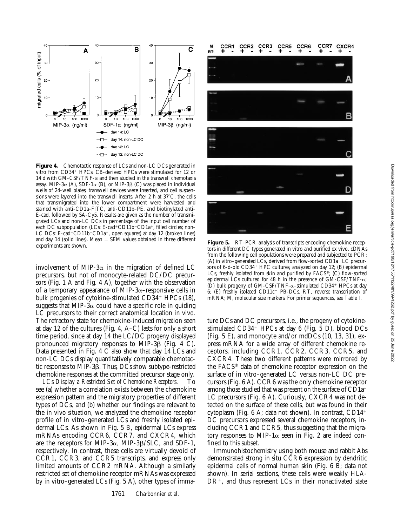

**Figure 4.** Chemotactic response of LCs and non-LC DCs generated in vitro from CD34<sup>+</sup> HPCs. CB-derived HPCs were stimulated for 12 or 14 d with GM-CSF/TNF- $\alpha$  and then studied in the transwell chemotaxis assay. MIP-3 $\alpha$  (A), SDF-1 $\alpha$  (B), or MIP-3 $\beta$  (C) was placed in individual wells of 24-well plates, transwell devices were inserted, and cell suspensions were layered into the transwell inserts. After 2 h at  $37^{\circ}$ C, the cells that transmigrated into the lower compartment were harvested and stained with anti-CD1a–FITC, anti-CD11b–PE, and biotinylated anti-E-cad, followed by SA-Cy5. Results are given as the number of transmigrated LCs and non-LC DCs in percentage of the input cell number of each DC subpopulation (LCs: E-cad+CD11b<sup>-</sup>CD1a<sup>+</sup>, filled circles; non-LC DCs: E-cad<sup>-</sup>CD11b+CD1a+, open squares) at day 12 (broken lines) and day 14 (solid lines). Mean  $\pm$  SEM values obtained in three different

involvement of MIP-3 $\alpha$  in the migration of defined LC precursors, but not of monocyte-related DC/DC precursors (Fig. 1 A and Fig. 4 A), together with the observation of a temporary appearance of MIP-3 $\alpha$ –responsive cells in bulk progenies of cytokine-stimulated  $CD34<sup>+</sup>$  HPCs (18), suggests that MIP-3 $\alpha$  could have a specific role in guiding LC precursors to their correct anatomical location in vivo. The refractory state for chemokine-induced migration seen at day 12 of the cultures (Fig. 4, A–C) lasts for only a short time period, since at day 14 the LC/DC progeny displayed pronounced migratory responses to MIP-3 $\beta$  (Fig. 4 C). Data presented in Fig. 4 C also show that day 14 LCs and non-LC DCs display quantitatively comparable chemotactic responses to MIP-3 $\beta$ . Thus, DCs show subtype-restricted chemokine responses at the committed precursor stage only.

*LCs Display a Restricted Set of Chemokine Receptors.* To see (a) whether a correlation exists between the chemokine expression pattern and the migratory properties of different types of DCs, and (b) whether our findings are relevant to the in vivo situation, we analyzed the chemokine receptor profile of in vitro–generated LCs and freshly isolated epidermal LCs. As shown in Fig. 5 B, epidermal LCs express mRNAs encoding CCR6, CCR7, and CXCR4, which are the receptors for MIP-3 $\alpha$ , MIP-3 $\beta$ /SLC, and SDF-1, respectively. In contrast, these cells are virtually devoid of CCR1, CCR3, and CCR5 transcripts, and express only limited amounts of CCR2 mRNA. Although a similarly restricted set of chemokine receptor mRNAs was expressed by in vitro–generated LCs (Fig. 5 A), other types of imma-



experiments are shown. **Figure 5.** RT-PCR analysis of transcripts encoding chemokine receptors in different DC types generated in vitro and purified ex vivo. cDNAs from the following cell populations were prepared and subjected to PCR: (A) in vitro–generated LCs, derived from flow-sorted  $CD1a^+$  LC precursors of 6-d-old CD34<sup>+</sup> HPC cultures, analyzed on day 12; (B) epidermal LCs, freshly isolated from skin and purified by  $FAC\check{S}^{\circ}$ ; (C) flow-sorted epidermal LCs cultured for 48 h in the presence of  $GM-CSF/TNF-\alpha$ ; (D) bulk progeny of GM-CSF/TNF- $\alpha$ –stimulated CD34<sup>+</sup> HPCs at day 6; (E) freshly isolated CD11 $c$ <sup>+</sup> PB-DCs. RT, reverse transcription of mRNA; M, molecular size markers. For primer sequences, see Table I.

ture DCs and DC precursors, i.e., the progeny of cytokinestimulated  $CD34<sup>+</sup>$  HPCs at day 6 (Fig. 5 D), blood DCs (Fig. 5 E), and monocyte and/or mdDCs (10, 13, 31), express mRNA for a wide array of different chemokine receptors, including CCR1, CCR2, CCR3, CCR5, and CXCR4. These two different patterns were mirrored by the FACS® data of chemokine receptor expression on the surface of in vitro–generated LC versus non-LC DC precursors (Fig. 6 A). CCR6 was the only chemokine receptor among those studied that was present on the surface of  $CD1a^+$ LC precursors (Fig. 6 A). Curiously, CXCR4 was not detected on the surface of these cells, but was found in their cytoplasm (Fig.  $6$  A; data not shown). In contrast, CD14<sup>+</sup> DC precursors expressed several chemokine receptors, including CCR1 and CCR5, thus suggesting that the migratory responses to MIP-1 $\alpha$  seen in Fig. 2 are indeed confined to this subset.

Immunohistochemistry using both mouse and rabbit Abs demonstrated strong in situ CCR6 expression by dendritic epidermal cells of normal human skin (Fig. 6 B; data not shown). In serial sections, these cells were weakly HLA- $DR^+$ , and thus represent LCs in their nonactivated state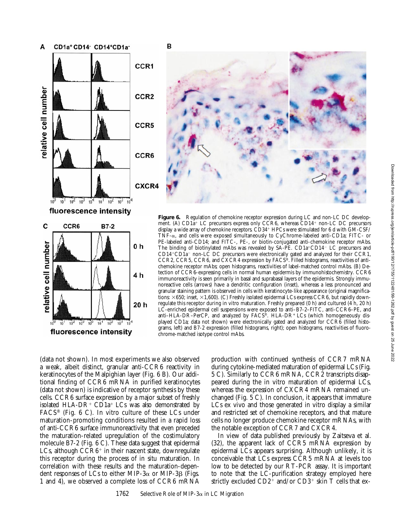

fluorescence intensity



**Figure 6.** Regulation of chemokine receptor expression during LC and non-LC DC development. (A) CD1a<sup>+</sup> LC precursors express only CCR6, whereas CD14<sup>+</sup> non-LC DC precursors display a wide array of chemokine receptors.  $\angle$ CD34<sup>+</sup> HPCs were stimulated for 6 d with  $\angle$ GM-CSF/ TNF-a, and cells were exposed simultaneously to CyChrome-labeled anti-CD1a; FITC- or PE-labeled anti-CD14; and FITC-, PE-, or biotin-conjugated anti-chemokine receptor mAbs. The binding of biotinylated mAbs was revealed by  $SA-PE$ .  $CD1a+CD14$ <sup>-</sup> LC precursors and  $CD14+CD1a$ <sup>-</sup> non-LC DC precursors were electronically gated and analyzed for their CCR1, CCR2, CCR5, CCR6, and CXCR4 expression by FACS®. Filled histograms, reactivities of antichemokine receptor mAbs; open histograms, reactivities of label-matched control mAbs. (B) Detection of CCR6-expressing cells in normal human epidermis by immunohistochemistry. CCR6 immunoreactivity is seen primarily in basal and suprabasal layers of the epidermis. Strongly immunoreactive cells (arrows) have a dendritic configuration (inset), whereas a less pronounced and granular staining pattern is observed in cells with keratinocyte-like appearance (original magnifications:  $\times 650$ ; inset,  $\times 1,600$ ). (C) Freshly isolated epidermal LCs express CCR6, but rapidly downregulate this receptor during in vitro maturation. Freshly prepared (0 h) and cultured (4 h, 20 h) LC-enriched epidermal cell suspensions were exposed to anti–B7-2–FITC, anti-CCR6–PE, and anti–HLA-DR–PerCP, and analyzed by FACS®. HLA-DR+ LCs (which homogeneously displayed CD1a; data not shown) were electronically gated and analyzed for CCR6 (filled histograms, left) and B7-2 expression (filled histograms, right); open histograms, reactivities of fluorochrome-matched isotype control mAbs.

(data not shown). In most experiments we also observed a weak, albeit distinct, granular anti-CCR6 reactivity in keratinocytes of the Malpighian layer (Fig. 6 B). Our additional finding of CCR6 mRNA in purified keratinocytes (data not shown) is indicative of receptor synthesis by these cells. CCR6 surface expression by a major subset of freshly isolated HLA-DR<sup>+</sup> CD1a<sup>+</sup> LCs was also demonstrated by FACS® (Fig. 6 C). In vitro culture of these LCs under maturation-promoting conditions resulted in a rapid loss of anti-CCR6 surface immunoreactivity that even preceded the maturation-related upregulation of the costimulatory molecule B7-2 (Fig. 6 C). These data suggest that epidermal LCs, although  $CCR6<sup>+</sup>$  in their nascent state, downregulate this receptor during the process of in situ maturation. In correlation with these results and the maturation-dependent responses of LCs to either MIP-3 $\alpha$  or MIP-3 $\beta$  (Figs. 1 and 4), we observed a complete loss of CCR6 mRNA

production with continued synthesis of CCR7 mRNA during cytokine-mediated maturation of epidermal LCs (Fig. 5 C). Similarly to CCR6 mRNA, CCR2 transcripts disappeared during the in vitro maturation of epidermal LCs, whereas the expression of CXCR4 mRNA remained unchanged (Fig. 5 C). In conclusion, it appears that immature LCs ex vivo and those generated in vitro display a similar and restricted set of chemokine receptors, and that mature cells no longer produce chemokine receptor mRNAs, with the notable exception of CCR7 and CXCR4.

In view of data published previously by Zaitseva et al. (32), the apparent lack of CCR5 mRNA expression by epidermal LCs appears surprising. Although unlikely, it is conceivable that LCs express CCR5 mRNA at levels too low to be detected by our RT-PCR assay. It is important to note that the LC-purification strategy employed here strictly excluded  $CD2^+$  and/or  $CD3^+$  skin T cells that ex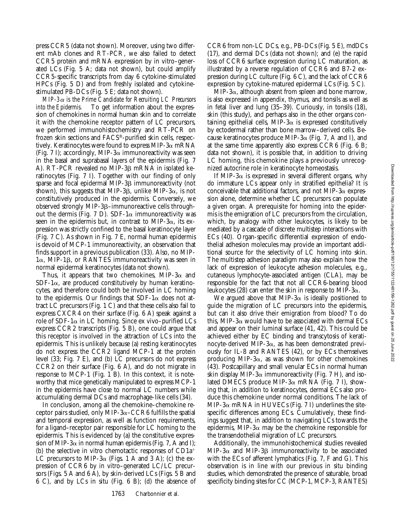press CCR5 (data not shown). Moreover, using two different mAb clones and RT-PCR, we also failed to detect CCR5 protein and mRNA expression by in vitro–generated LCs (Fig. 5 A; data not shown), but could amplify CCR5-specific transcripts from day 6 cytokine-stimulated HPCs (Fig. 5 D) and from freshly isolated and cytokinestimulated PB-DCs (Fig. 5 E; data not shown).

*MIP-3*a *is the Prime Candidate for Recruiting LC Precursors into the Epidermis.* To get information about the expression of chemokines in normal human skin and to correlate it with the chemokine receptor pattern of LC precursors, we performed immunohistochemistry and RT-PCR on frozen skin sections and FACS®-purified skin cells, respectively. Keratinocytes were found to express MIP-3 $\alpha$  mRNA (Fig. 7 I); accordingly, MIP-3 $\alpha$  immunoreactivity was seen in the basal and suprabasal layers of the epidermis (Fig. 7 A). RT-PCR revealed no MIP-3ß mRNA in isolated keratinocytes (Fig. 7 I). Together with our finding of only sparse and focal epidermal MIP-3 $\beta$  immunoreactivity (not shown), this suggests that MIP-3 $\beta$ , unlike MIP-3 $\alpha$ , is not constitutively produced in the epidermis. Conversely, we observed strongly MIP-3 $\beta$ –immunoreactive cells throughout the dermis (Fig. 7 D). SDF-1 $\alpha$  immunoreactivity was seen in the epidermis but, in contrast to MIP-3 $\alpha$ , its expression was strictly confined to the basal keratinocyte layer (Fig. 7 C). As shown in Fig. 7 E, normal human epidermis is devoid of MCP-1 immunoreactivity, an observation that finds support in a previous publication (33). Also, no MIP- $1\alpha$ , MIP-1 $\beta$ , or RANTES immunoreactivity was seen in normal epidermal keratinocytes (data not shown).

Thus, it appears that two chemokines, MIP-3 $\alpha$  and  $SDF-1\alpha$ , are produced constitutively by human keratinocytes, and therefore could both be involved in LC homing to the epidermis. Our findings that  $SDF-1\alpha$  does not attract LC precursors (Fig. 1 C) and that these cells also fail to express CXCR4 on their surface (Fig. 6 A) speak against a role of SDF-1 $\alpha$  in LC homing. Since ex vivo–purified LCs express CCR2 transcripts (Fig. 5 B), one could argue that this receptor is involved in the attraction of LCs into the epidermis. This is unlikely because (a) resting keratinocytes do not express the CCR2 ligand MCP-1 at the protein level (33; Fig. 7 E), and (b) LC precursors do not express CCR2 on their surface (Fig. 6 A), and do not migrate in response to MCP-1 (Fig. 1 B). In this context, it is noteworthy that mice genetically manipulated to express MCP-1 in the epidermis have close to normal LC numbers while accumulating dermal DCs and macrophage-like cells (34).

In conclusion, among all the chemokine–chemokine receptor pairs studied, only MIP-3 $\alpha$ –CCR6 fulfills the spatial and temporal expression, as well as function requirements, for a ligand–receptor pair responsible for LC homing to the epidermis. This is evidenced by (a) the constitutive expression of MIP-3 $\alpha$  in normal human epidermis (Fig. 7, A and I); (b) the selective in vitro chemotactic responses of  $CD1a^+$ LC precursors to MIP-3 $\alpha$  (Figs. 1 A and 3 A); (c) the expression of CCR6 by in vitro–generated LC/LC precursors (Figs. 5 A and 6 A), by skin-derived LCs (Figs. 5 B and 6 C), and by LCs in situ (Fig. 6 B); (d) the absence of

CCR6 from non-LC DCs, e.g., PB-DCs (Fig. 5 E), mdDCs (17), and dermal DCs (data not shown); and (e) the rapid loss of CCR6 surface expression during LC maturation, as illustrated by a reverse regulation of CCR6 and B7-2 expression during LC culture (Fig. 6 C), and the lack of CCR6 expression by cytokine-matured epidermal LCs (Fig. 5 C).

 $MIP-3\alpha$ , although absent from spleen and bone marrow, is also expressed in appendix, thymus, and tonsils as well as in fetal liver and lung (35–39). Curiously, in tonsils (18), skin (this study), and perhaps also in the other organs containing epithelial cells, MIP-3 $\alpha$  is expressed constitutively by ectodermal rather than bone marrow–derived cells. Because keratinocytes produce MIP-3 $\alpha$  (Fig. 7, A and I), and at the same time apparently also express CCR6 (Fig. 6 B; data not shown), it is possible that, in addition to driving LC homing, this chemokine plays a previously unrecognized autocrine role in keratinocyte homeostasis.

If MIP-3 $\alpha$  is expressed in several different organs, why do immature LCs appear only in stratified epithelia? It is conceivable that additional factors, and not MIP-3 $\alpha$  expression alone, determine whether LC precursors can populate a given organ. A prerequisite for homing into the epidermis is the emigration of LC precursors from the circulation, which, by analogy with other leukocytes, is likely to be mediated by a cascade of discrete multistep interactions with ECs (40). Organ-specific differential expression of endothelial adhesion molecules may provide an important additional source for the selectivity of LC homing into skin. The multistep adhesion paradigm may also explain how the lack of expression of leukocyte adhesion molecules, e.g., cutaneous lymphocyte-associated antigen (CLA), may be responsible for the fact that not all CCR6-bearing blood leukocytes (28) can enter the skin in response to MIP-3 $\alpha$ .

We argued above that MIP-3 $\alpha$  is ideally positioned to guide the migration of LC precursors into the epidermis, but can it also drive their emigration from blood? To do this, MIP-3 $\alpha$  would have to be associated with dermal ECs and appear on their luminal surface (41, 42). This could be achieved either by EC binding and transcytosis of keratinocyte-derived MIP-3 $\alpha$ , as has been demonstrated previously for IL-8 and RANTES (42), or by ECs themselves producing MIP-3 $\alpha$ , as was shown for other chemokines (43). Postcapillary and small venular ECs in normal human skin display MIP-3 $\alpha$  immunoreactivity (Fig. 7 H), and isolated DMECS produce MIP-3 $\alpha$  mRNA (Fig. 7 I), showing that, in addition to keratinocytes, dermal ECs also produce this chemokine under normal conditions. The lack of MIP-3 $\alpha$  mRNA in HUVECs (Fig. 7 I) underlines the sitespecific differences among ECs. Cumulatively, these findings suggest that, in addition to navigating LCs towards the epidermis, MIP-3 $\alpha$  may be the chemokine responsible for the transendothelial migration of LC precursors.

Additionally, the immunohistochemical studies revealed  $MIP-3\alpha$  and  $MIP-3\beta$  immunoreactivity to be associated with the ECs of afferent lymphatics (Fig. 7, F and G). This observation is in line with our previous in situ binding studies, which demonstrated the presence of saturable, broad specificity binding sites for CC (MCP-1, MCP-3, RANTES)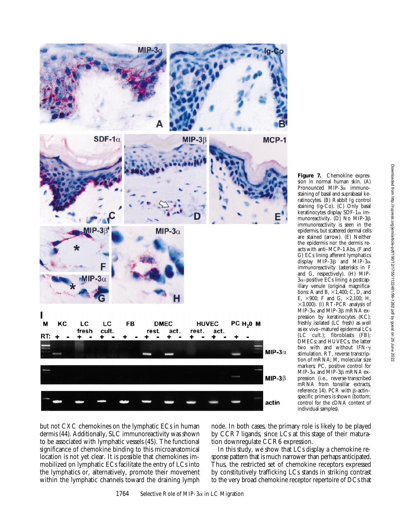

**Figure 7.** Chemokine expression in normal human skin. (A) Pronounced MIP- $3\alpha$  immunostaining of basal and suprabasal keratinocytes. (B) Rabbit Ig control staining (Ig-Co). (C) Only basal keratinocytes display SDF-1 $\alpha$  immunoreactivity. (D) No MIP-3 $\beta$ immunoreactivity is seen in the epidermis, but scattered dermal cells are stained (arrow). (E) Neither the epidermis nor the dermis reacts with anti–MCP-1 Abs. (F and G) ECs lining afferent lymphatics display MIP-3 $\beta$  and MIP-3 $\alpha$ immunoreactivity (asterisks in F and G, respectively). (H) MIP- $3\alpha$ –positive ECs lining a postcapillary venule (original magnifications: A and B,  $\times$ 1,400; C, D, and E,  $\times 900$ ; F and G,  $\times 2,100$ ; H,  $\times$ 3,000). (I) RT-PCR analysis of MIP-3 $\alpha$  and MIP-3 $\beta$  mRNA expression by keratinocytes (KC); freshly isolated (LC fresh) as well as ex vivo–matured epidermal LCs (LC cult.); fibroblasts (FB); DMECs; and HUVECs, the latter two with and without IFN-g stimulation. RT, reverse transcription of mRNA; M, molecular size markers; PC, positive control for MIP-3 $\alpha$  and MIP-3 $\beta$  mRNA expression (i.e., reverse-transcribed mRNA from tonsillar extracts, reference 14). PCR with  $\beta$ -actinspecific primers is shown (bottom; control for the cDNA content of individual samples).

but not CXC chemokines on the lymphatic ECs in human dermis (44). Additionally, SLC immunoreactivity was shown to be associated with lymphatic vessels (45). The functional significance of chemokine binding to this microanatomical location is not yet clear. It is possible that chemokines immobilized on lymphatic ECs facilitate the entry of LCs into the lymphatics or, alternatively, promote their movement within the lymphatic channels toward the draining lymph node. In both cases, the primary role is likely to be played by CCR7 ligands, since LCs at this stage of their maturation downregulate CCR6 expression.

In this study, we show that LCs display a chemokine response pattern that is much narrower than perhaps anticipated. Thus, the restricted set of chemokine receptors expressed by constitutively trafficking LCs stands in striking contrast to the very broad chemokine receptor repertoire of DCs that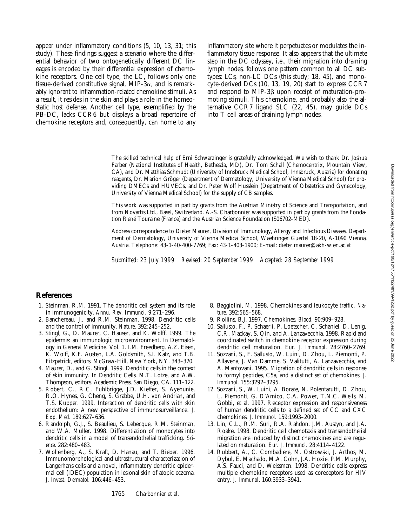appear under inflammatory conditions (5, 10, 13, 31; this study). These findings suggest a scenario where the differential behavior of two ontogenetically different DC lineages is encoded by their differential expression of chemokine receptors. One cell type, the LC, follows only one tissue-derived constitutive signal, MIP-3 $\alpha$ , and is remarkably ignorant to inflammation-related chemokine stimuli. As a result, it resides in the skin and plays a role in the homeostatic host defense. Another cell type, exemplified by the PB-DC, lacks CCR6 but displays a broad repertoire of chemokine receptors and, consequently, can home to any inflammatory site where it perpetuates or modulates the inflammatory tissue response. It also appears that the ultimate step in the DC odyssey, i.e., their migration into draining lymph nodes, follows one pattern common to all DC subtypes: LCs, non-LC DCs (this study; 18, 45), and monocyte-derived DCs (10, 13, 19, 20) start to express CCR7 and respond to MIP-3ß upon receipt of maturation-promoting stimuli. This chemokine, and probably also the alternative CCR7 ligand SLC (22, 45), may guide DCs into T cell areas of draining lymph nodes.

The skilled technical help of Erni Schwarzinger is gratefully acknowledged. We wish to thank Dr. Joshua Farber (National Institutes of Health, Bethesda, MD), Dr. Tom Schall (Chemocentrix, Mountain View, CA), and Dr. Matthias Schmudt (University of Innsbruck Medical School, Innsbruck, Austria) for donating reagents, Dr. Marion Gröger (Department of Dermatology, University of Vienna Medical School) for providing DMECs and HUVECs, and Dr. Peter Wolf Husslein (Department of Obstetrics and Gynecology, University of Vienna Medical School) for the supply of CB samples.

This work was supported in part by grants from the Austrian Ministry of Science and Transportation, and from Novartis Ltd., Basel, Switzerland. A.-S. Charbonnier was supported in part by grants from the Fondation René Touraine (France) and the Austrian Science Foundation (S06702-MED).

Address correspondence to Dieter Maurer, Division of Immunology, Allergy and Infectious Diseases, Department of Dermatology, University of Vienna Medical School, Waehringer Guertel 18-20, A-1090 Vienna, Austria. Telephone: 43-1-40-400-7769; Fax: 43-1-403-1900; E-mail: dieter.maurer@akh-wien.ac.at

*Submitted: 23 July 1999 Revised: 20 September 1999 Accepted: 28 September 1999*

## **References**

- 1. Steinman, R.M. 1991. The dendritic cell system and its role in immunogenicity. *Annu. Rev. Immunol*. 9:271–296.
- 2. Banchereau, J., and R.M. Steinman. 1998. Dendritic cells and the control of immunity. *Nature*. 392:245–252.
- 3. Stingl, G., D. Maurer, C. Hauser, and K. Wolff. 1999. The epidermis: an immunologic microenvironment. *In* Dermatology in General Medicine. Vol. 1. I.M. Freedberg, A.Z. Eisen, K. Wolff, K.F. Austen, L.A. Goldsmith, S.I. Katz, and T.B. Fitzpatrick, editors. McGraw-Hill, New York, NY. 343–370.
- 4. Maurer, D., and G. Stingl. 1999. Dendritic cells in the context of skin immunity. *In* Dendritic Cells. M.T. Lotze, and A.W. Thompson, editors. Academic Press, San Diego, CA. 111–122.
- 5. Robert, C., R.C. Fuhlbrigge, J.D. Kieffer, S. Ayehunie, R.O. Hynes, G. Cheng, S. Grabbe, U.H. von Andrian, and T.S. Kupper. 1999. Interaction of dendritic cells with skin endothelium: A new perspective of immunosurveillance. *J. Exp. Med*. 189:627–636.
- 6. Randolph, G.J., S. Beaulieu, S. Lebecque, R.M. Steinman, and W.A. Muller. 1998. Differentiation of monocytes into dendritic cells in a model of transendothelial trafficking. *Science*. 282:480–483.
- 7. Wollenberg, A., S. Kraft, D. Hanau, and T. Bieber. 1996. Immunomorphological and ultrastructural characterization of Langerhans cells and a novel, inflammatory dendritic epidermal cell (IDEC) population in lesional skin of atopic eczema. *J. Invest. Dermatol.* 106:446–453.
- 8. Baggiolini, M. 1998. Chemokines and leukocyte traffic. *Nature*. 392:565–568.
- 9. Rollins, B.J. 1997. Chemokines. *Blood*. 90:909–928.
- 10. Sallusto, F., P. Schaerli, P. Loetscher, C. Schaniel, D. Lenig, C.R. Mackay, S. Qin, and A. Lanzavecchia. 1998. Rapid and coordinated switch in chemokine receptor expression during dendritic cell maturation. *Eur. J. Immunol*. 28:2760–2769.
- 11. Sozzani, S., F. Sallusto, W. Luini, D. Zhou, L. Piemonti, P. Allavena, J. Van Damme, S. Valitutti, A. Lanzavecchia, and A. Mantovani. 1995. Migration of dendritic cells in response to formyl peptides, C5a, and a distinct set of chemokines. *J. Immunol*. 155:3292–3295.
- 12. Sozzani, S., W. Luini, A. Borate, N. Polentarutti, D. Zhou, L. Piemonti, G. D'Amico, C.A. Power, T.N.C. Wells, M. Gobbi, et al. 1997. Receptor expression and responsiveness of human dendritic cells to a defined set of CC and CXC chemokines. *J. Immunol*. 159:1993–2000.
- 13. Lin, C.L., R.M. Suri, R.A. Rahdon, J.M. Austyn, and J.A. Roake. 1998. Dendritic cell chemotaxis and transendothelial migration are induced by distinct chemokines and are regulated on maturation. *Eur. J. Immunol*. 28:4114–4122.
- 14. Rubbert, A., C. Combadiere, M. Ostrowski, J. Arthos, M. Dybul, E. Machado, M.A. Cohn, J.A. Hoxie, P.M. Murphy, A.S. Fauci, and D. Weissman. 1998. Dendritic cells express multiple chemokine receptors used as coreceptors for HIV entry. *J. Immunol*. 160:3933–3941.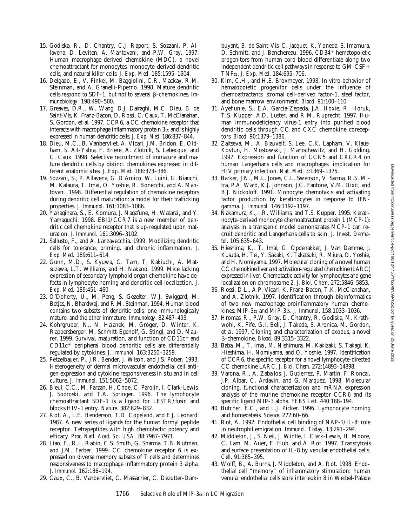- 15. Godiska, R., D. Chantry, C.J. Raport, S. Sozzani, P. Allavena, D. Leviten, A. Mantovani, and P.W. Gray. 1997. Human macrophage-derived chemokine (MDC), a novel chemoattractant for monocytes, monocyte-derived dendritic cells, and natural killer cells. *J. Exp. Med*. 185:1595–1604.
- 16. Delgado, E., V. Finkel, M. Baggiolini, C.R. Mackay, R.M. Steinman, and A. Granelli-Piperno. 1998. Mature dendritic cells respond to SDF-1, but not to several  $\beta$ -chemokines. *Immunobiology.* 198:490–500.
- 17. Greaves, D.R., W. Wang, D.J. Dairaghi, M.C. Dieu, B. de Saint-Vis, K. Franz-Bacon, D. Rossi, C. Caux, T. McClanahan, S. Gordon, et al. 1997. CCR6, a CC chemokine receptor that interacts with macrophage inflammatory protein  $3\alpha$  and is highly expressed in human dendritic cells. *J. Exp. Med*. 186:837–844.
- 18. Dieu, M.C., B. Vanbervliet, A. Vicari, J.M. Bridon, E. Oldham, S. Ait-Yahia, F. Briere, A. Zlotnik, S. Lebecque, and C. Caux. 1998. Selective recruitment of immature and mature dendritic cells by distinct chemokines expressed in different anatomic sites. *J. Exp. Med*. 188:373–386.
- 19. Sozzani, S., P. Allavena, G. D'Amico, W. Luini, G. Bianchi, M. Kataura, T. Imai, O. Yoshie, R. Bonecchi, and A. Mantovani. 1998. Differential regulation of chemokine receptors during dendritic cell maturation: a model for their trafficking properties. *J. Immunol*. 161:1083–1086.
- 20. Yanagihara, S., E. Komura, J. Nagafune, H. Watarai, and Y. Yamaguchi. 1998. EBI1/CCR7 is a new member of dendritic cell chemokine receptor that is up-regulated upon maturation. *J. Immunol*. 161:3096–3102.
- 21. Sallusto, F., and A. Lanzavecchia. 1999. Mobilizing dendritic cells for tolerance, priming, and chronic inflammation. *J. Exp. Med.* 189:611–614.
- 22. Gunn, M.D., S. Kyuwa, C. Tam, T. Kakiuchi, A. Matsuzawa, L.T. Williams, and H. Nakano. 1999. Mice lacking expression of secondary lymphoid organ chemokine have defects in lymphocyte homing and dendritic cell localization. *J. Exp. Med.* 189:451–460.
- 23. O'Doherty, U., M. Peng, S. Gezelter, W.J. Swiggard, M. Betjes, N. Bhardwaj, and R.M. Steinman. 1994. Human blood contains two subsets of dendritic cells, one immunologically mature, and the other immature. *Immunology*. 82:487–493.
- 24. Kohrgruber, N., N. Halanek, M. Gröger, D. Winter, K. Rappersberger, M. Schmitt-Egenolf, G. Stingl, and D. Maurer. 1999. Survival, maturation, and function of  $CD11c$ <sup>-</sup> and  $CD11c<sup>+</sup>$  peripheral blood dendritic cells are differentially regulated by cytokines. *J. Immunol.* 163:3250–3259.
- 25. Petzelbauer, P., J.R. Bender, J. Wison, and J.S. Pober. 1993. Heterogeneity of dermal microvascular endothelial cell antigen expression and cytokine responsiveness in situ and in cell culture. *J. Immunol.* 151:5062–5072.
- 26. Bleul, C.C., M. Farzan, H. Choe, C. Parolin, I. Clark-Lewis, J. Sodroski, and T.A. Springer. 1996. The lymphocyte chemoattractant SDF-1 is a ligand for LESTR/fusin and blocks HIV-1 entry. *Nature*. 382:829–832.
- 27. Rot, A., L.E. Henderson, T.D. Copeland, and E.J. Leonard. 1987. A new series of ligands for the human formyl peptide receptor. Tetrapeptides with high chemotactic potency and efficacy. *Proc. Natl. Acad. Sci. USA.* 88:7967–7971.
- 28. Liao, F., R.L. Rabin, C.S. Smith, G. Sharma, T.B. Nutman, and J.M. Farber. 1999. CC chemokine receptor 6 is expressed on diverse memory subsets of T cells and determines responsiveness to macrophage inflammatory protein 3 alpha. *J. Immunol.* 162:186–194.
- 29. Caux, C., B. Vanbervliet, C. Massacrier, C. Dezutter-Dam-

buyant, B. de Saint-Vis, C. Jacquet, K. Yoneda, S. Imamura, D. Schmitt, and J. Banchereau. 1996. CD34+ hematopoietic progenitors from human cord blood differentiate along two independent dendritic cell pathways in response to  $GM-CSF+$ TNFa. *J. Exp. Med*. 184:695–706.

- 30. Kim, C.H., and H.E. Broxmeyer. 1998. In vitro behavior of hematopoietic progenitor cells under the influence of chemoattractants: stromal cell-derived factor-1, steel factor, and bone marrow environment. *Blood*. 91:100–110.
- 31. Ayehunie, S., E.A. Garcia-Zepeda, J.A. Hoxie, R. Horuk, T.S. Kupper, A.D. Luster, and R.M. Ruprecht. 1997. Human immunodeficiency virus-1 entry into purified blood dendritic cells through CC and CXC chemokine coreceptors. *Blood*. 90:1379–1386.
- 32. Zaitseva, M., A. Blauvelt, S. Lee, C.K. Lapham, V. Klaus-Kovtun, H. Mostowski, J. Manischewitz, and H. Golding. 1997. Expression and function of CCR5 and CXCR4 on human Langerhans cells and macrophages: implication for HIV primary infection. *Nat. Med*. 3:1369–1375.
- 33. Barker, J.N., M.L. Jones, C.L. Swenson, V. Sarma, R.S. Mitra, P.A. Ward, K.J. Johnson, J.C. Fantone, V.M. Dixit, and B.J. Nickoloff. 1991. Monocyte chemotaxis and activating factor production by keratinocytes in response to IFNgamma. *J. Immunol.* 146:1192–1197.
- 34. Nakamura, K., I.R. Williams, and T.S. Kupper. 1995. Keratinocyte-derived monocyte chemoattractant protein 1 (MCP-1): analysis in a transgenic model demonstrates MCP-1 can recruit dendritic and Langerhans cells to skin. *J. Invest. Dermatol*. 105:635–643.
- 35. Hieshima, K., T. Imai, G. Opdenakker, J. Van Damme, J. Kusuda, H. Tei, Y. Sakaki, K. Takatsuki, R. Miura, O. Yoshie, and H. Nomiyama. 1997. Molecular cloning of a novel human CC chemokine liver and activation-regulated chemokine (LARC) expressed in liver. Chemotactic activity for lymphocytes and gene localization on chromosome 2. *J. Biol. Chem*. 272:5846–5853.
- 36. Rossi, D.L., A.P. Vicari, K. Franz-Bacon, T.K. McClanahan, and A. Zlotnik. 1997. Identification through bioinformatics of two new macrophage proinflammatory human chemokines: MIP-3 $\alpha$  and MIP-3 $\beta$ . *J. Immunol.* 158:1033-1036.
- 37. Hromas, R., P.W. Gray, D. Chantry, R. Godiska, M. Krathwohl, K. Fife, G.I. Bell, J. Takeda, S. Aronica, M. Gordon, et al. 1997. Cloning and characterization of exodus, a novel b-chemokine. *Blood*. 89:3315–3322.
- 38. Baba, M., T. Imai, M. Nishimura, M. Kakizaki, S. Takagi, K. Hieshima, H. Nomiyama, and O. Yoshie. 1997. Identification of CCR6, the specific receptor for a novel lymphocyte-directed CC chemokine LARC. *J. Biol. Chem*. 272:14893–14898.
- 39. Varona, R., A. Zaballos, J. Gutierrez, P. Martin, F. Roncal, J.P. Albar, C. Ardavin, and G. Marquez. 1998. Molecular cloning, functional characterization and mRNA expression analysis of the murine chemokine receptor CCR6 and its specific ligand MIP-3 alpha. *FEBS Lett.* 440:188–194.
- 40. Butcher, E.C., and L.J. Picker. 1996. Lymphocyte homing and homeostasis. *Science*. 272:60–66.
- 41. Rot, A. 1992. Endothelial cell binding of NAP-1/IL-8: role in neutrophil emigration. *Immunol. Today*. 13:291–294.
- 42. Middleton, J., S. Neil, J. Wintle, I. Clark-Lewis, H. Moore, C. Lam, M. Auer, E. Hub, and A. Rot. 1997. Transcytosis and surface presentation of IL-8 by venular endothelial cells. *Cell*. 91:385–395.
- 43. Wolff, B., A. Burns, J. Middleton, and A. Rot. 1998. Endothelial cell "memory" of inflammatory stimulation: human venular endothelial cells store interleukin 8 in Weibel-Palade